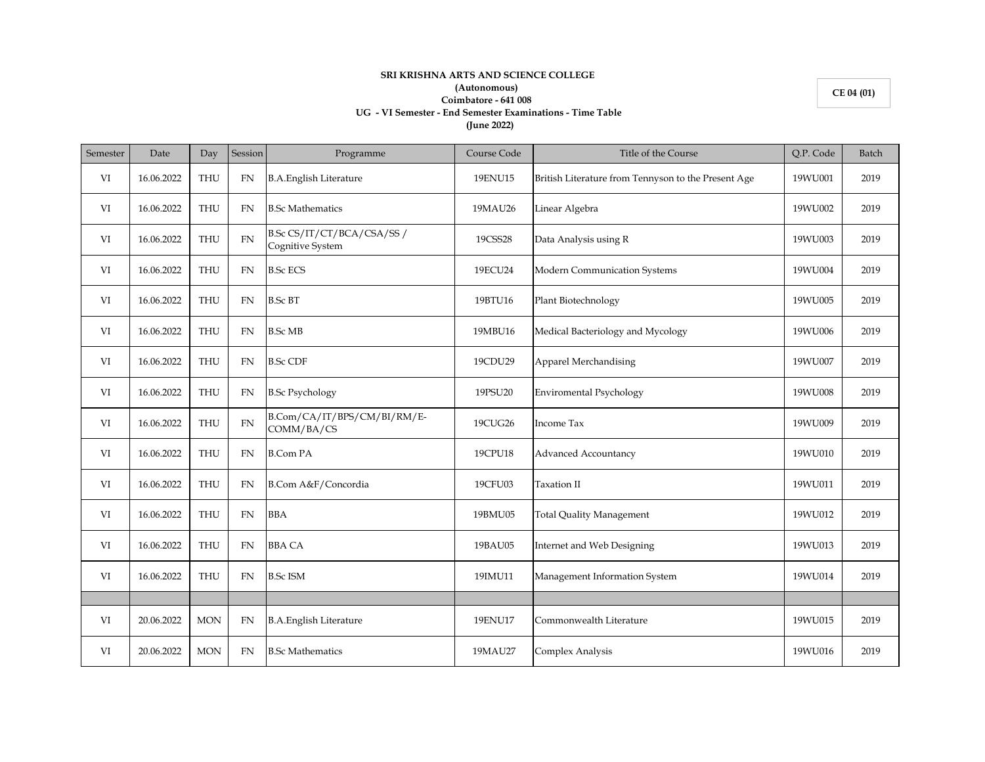## **SRI KRISHNA ARTS AND SCIENCE COLLEGE (Autonomous) Coimbatore - 641 008 UG - VI Semester - End Semester Examinations - Time Table (June 2022)**

**CE 04 (01)**

## Semester Date Day Session Programme Course Code Course Code Title of the Course Course (Q.P. Code Batch VI 16.06.2022 THU FN B.A.English Literature 19ENU15 British Literature from Tennyson to the Present Age 19WU001 2019 VI | 16.06.2022 | THU | FN |B.Sc Mathematics 19MAU26 | 19MAU26 | Linear Algebra 19MAU26 | 19WU002 | 2019 VI 16.06.2022 THU FN B.Sc CS/IT/CT/BCA/CSA/SS / Cognitive System 19CSS28 Data Analysis using R 19WU003 2019 VI 16.06.2022 THU FN B.Sc ECS 1980 19ECU24 Modern Communication Systems 19WU004 2019 VI 16.06.2022 THU FN B.Sc BT 19BTU16 Plant Biotechnology 1990 1990 1990 1990 2019 VI 16.06.2022 THU FN B.Sc MB 19MBU16 Medical Bacteriology and Mycology 19WU006 2019 VI 16.06.2022 THU FN B.Sc CDF 19CDU29 Apparel Merchandising 19WU007 2019 VI 16.06.2022 THU FN B.Sc Psychology 19PSU20 Enviromental Psychology 19PSU20 2019 VI  $16.06.2022$  THU FN  $B\text{.Com/CA/IT/BPS/CM/BI/RM/E-}$  COMM/BA/CS COMM/BA/CS 19CUG26 Income Tax 19WU009 2019 VI 16.06.2022 THU FN B.Com PA 19CPU18 Advanced Accountancy 190000 2019 VI 16.06.2022 THU FN B.Com A&F/Concordia 19CFU03 Taxation II 19WU011 2019 VI 16.06.2022 THU FN BBA 19BMU05 Total Quality Management 19BMU012 2019 VI 16.06.2022 THU FN BBA CA 19BAU05 Internet and Web Designing 16.06.2022 THU FN BBA CA VI 16.06.2022 THU FN B.Sc ISM 19IMU11 Management Information System 19WU014 2019 VI 20.06.2022 MON FN B.A.English Literature 19ENU17 Commonwealth Literature 19WU015 2019 VI 20.06.2022 MON FN B.Sc Mathematics 19MAU27 Complex Analysis 19WU016 2019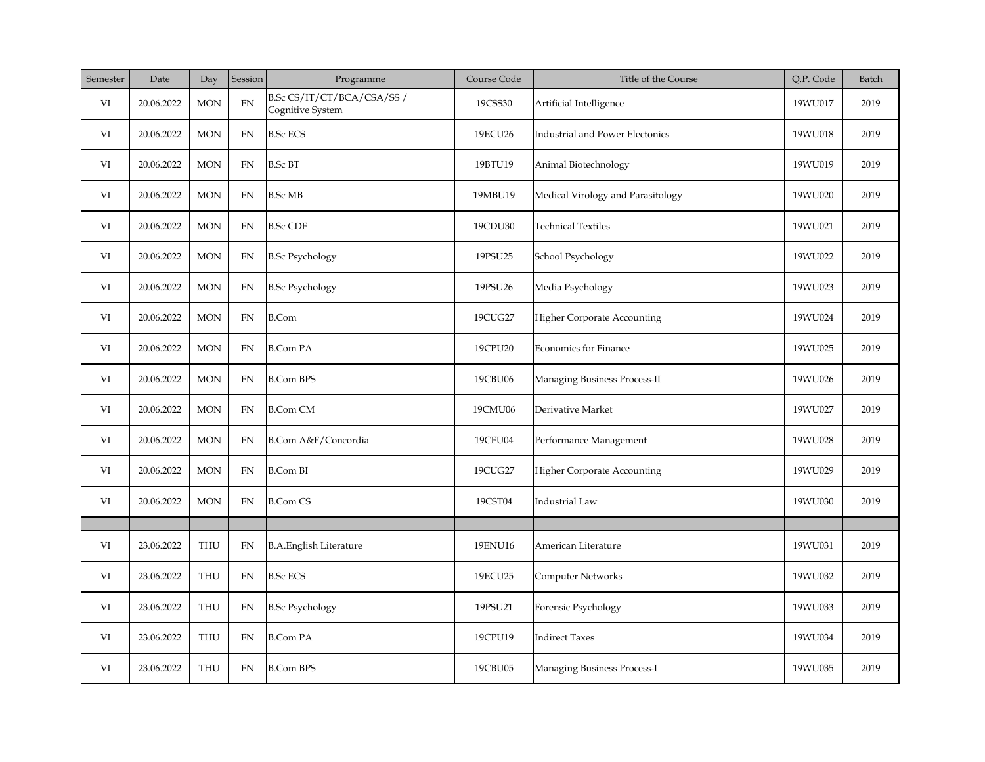| Semester | Date       | Day        | Session    | Programme                                     | Course Code | Title of the Course                    | Q.P. Code | Batch |
|----------|------------|------------|------------|-----------------------------------------------|-------------|----------------------------------------|-----------|-------|
| VI       | 20.06.2022 | <b>MON</b> | $FN$       | B.Sc CS/IT/CT/BCA/CSA/SS/<br>Cognitive System | 19CSS30     | Artificial Intelligence                | 19WU017   | 2019  |
| VI       | 20.06.2022 | <b>MON</b> | FN         | <b>B.Sc ECS</b>                               | 19ECU26     | <b>Industrial and Power Electonics</b> | 19WU018   | 2019  |
| VI       | 20.06.2022 | <b>MON</b> | FN         | <b>B.Sc BT</b>                                | 19BTU19     | Animal Biotechnology                   | 19WU019   | 2019  |
| VI       | 20.06.2022 | <b>MON</b> | FN         | <b>B.Sc MB</b>                                | 19MBU19     | Medical Virology and Parasitology      | 19WU020   | 2019  |
| VI       | 20.06.2022 | <b>MON</b> | FN         | <b>B.Sc CDF</b>                               | 19CDU30     | <b>Technical Textiles</b>              | 19WU021   | 2019  |
| VI       | 20.06.2022 | <b>MON</b> | FN         | <b>B.Sc Psychology</b>                        | 19PSU25     | School Psychology                      | 19WU022   | 2019  |
| VI       | 20.06.2022 | <b>MON</b> | ${\rm FN}$ | <b>B.Sc Psychology</b>                        | 19PSU26     | Media Psychology                       | 19WU023   | 2019  |
| VI       | 20.06.2022 | <b>MON</b> | FN         | <b>B.Com</b>                                  | 19CUG27     | <b>Higher Corporate Accounting</b>     | 19WU024   | 2019  |
| VI       | 20.06.2022 | <b>MON</b> | <b>FN</b>  | <b>B.Com PA</b>                               | 19CPU20     | <b>Economics for Finance</b>           | 19WU025   | 2019  |
| VI       | 20.06.2022 | <b>MON</b> | FN         | <b>B.Com BPS</b>                              | 19CBU06     | Managing Business Process-II           | 19WU026   | 2019  |
| VI       | 20.06.2022 | <b>MON</b> | ${\rm FN}$ | <b>B.Com CM</b>                               | 19CMU06     | Derivative Market                      | 19WU027   | 2019  |
| VI       | 20.06.2022 | <b>MON</b> | FN         | B.Com A&F/Concordia                           | 19CFU04     | Performance Management                 | 19WU028   | 2019  |
| VI       | 20.06.2022 | <b>MON</b> | FN         | <b>B.Com BI</b>                               | 19CUG27     | <b>Higher Corporate Accounting</b>     | 19WU029   | 2019  |
| VI       | 20.06.2022 | <b>MON</b> | FN         | <b>B.Com CS</b>                               | 19CST04     | <b>Industrial Law</b>                  | 19WU030   | 2019  |
|          |            |            |            |                                               |             |                                        |           |       |
| VI       | 23.06.2022 | <b>THU</b> | FN         | <b>B.A.English Literature</b>                 | 19ENU16     | American Literature                    | 19WU031   | 2019  |
| VI       | 23.06.2022 | THU        | <b>FN</b>  | <b>B.Sc ECS</b>                               | 19ECU25     | Computer Networks                      | 19WU032   | 2019  |
| VI       | 23.06.2022 | <b>THU</b> | FN         | <b>B.Sc Psychology</b>                        | 19PSU21     | Forensic Psychology                    | 19WU033   | 2019  |
| VI       | 23.06.2022 | <b>THU</b> | FN         | <b>B.Com PA</b>                               | 19CPU19     | <b>Indirect Taxes</b>                  | 19WU034   | 2019  |
| VI       | 23.06.2022 | <b>THU</b> | FN         | <b>B.Com BPS</b>                              | 19CBU05     | Managing Business Process-I            | 19WU035   | 2019  |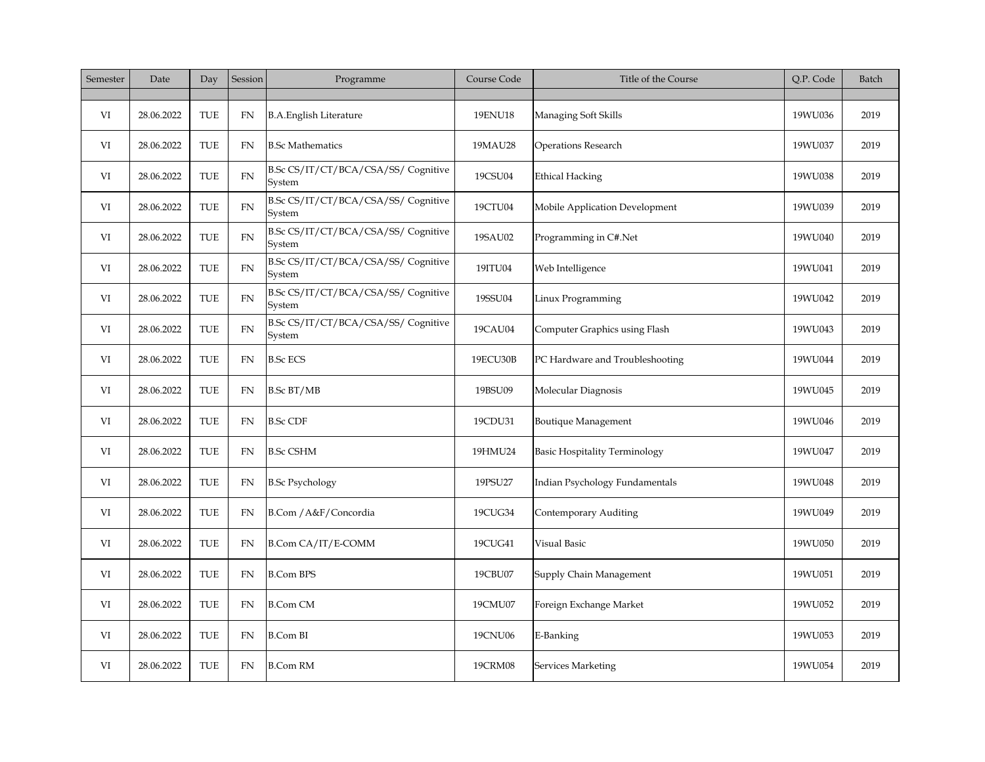| Semester | Date       | Day        | Session    | Programme                                     | Course Code | Title of the Course                  | Q.P. Code | Batch |
|----------|------------|------------|------------|-----------------------------------------------|-------------|--------------------------------------|-----------|-------|
| VI       | 28.06.2022 | <b>TUE</b> | FN         | <b>B.A.English Literature</b>                 | 19ENU18     | Managing Soft Skills                 | 19WU036   | 2019  |
| VI       | 28.06.2022 | TUE        | <b>FN</b>  | <b>B.Sc Mathematics</b>                       | 19MAU28     | <b>Operations Research</b>           | 19WU037   | 2019  |
| VI       | 28.06.2022 | <b>TUE</b> | <b>FN</b>  | B.Sc CS/IT/CT/BCA/CSA/SS/ Cognitive<br>System | 19CSU04     | <b>Ethical Hacking</b>               | 19WU038   | 2019  |
| VI       | 28.06.2022 | TUE        | <b>FN</b>  | B.Sc CS/IT/CT/BCA/CSA/SS/ Cognitive<br>System | 19CTU04     | Mobile Application Development       | 19WU039   | 2019  |
| VI       | 28.06.2022 | TUE        | <b>FN</b>  | B.Sc CS/IT/CT/BCA/CSA/SS/ Cognitive<br>System | 19SAU02     | Programming in C#.Net                | 19WU040   | 2019  |
| VI       | 28.06.2022 | TUE        | ${\rm FN}$ | B.Sc CS/IT/CT/BCA/CSA/SS/ Cognitive<br>System | 19ITU04     | Web Intelligence                     | 19WU041   | 2019  |
| VI       | 28.06.2022 | TUE        | <b>FN</b>  | B.Sc CS/IT/CT/BCA/CSA/SS/ Cognitive<br>System | 19SSU04     | Linux Programming                    | 19WU042   | 2019  |
| VI       | 28.06.2022 | TUE        | <b>FN</b>  | B.Sc CS/IT/CT/BCA/CSA/SS/ Cognitive<br>System | 19CAU04     | Computer Graphics using Flash        | 19WU043   | 2019  |
| VI       | 28.06.2022 | TUE        | <b>FN</b>  | <b>B.Sc ECS</b>                               | 19ECU30B    | PC Hardware and Troubleshooting      | 19WU044   | 2019  |
| VI       | 28.06.2022 | TUE        | FN         | <b>B.Sc BT/MB</b>                             | 19BSU09     | Molecular Diagnosis                  | 19WU045   | 2019  |
| VI       | 28.06.2022 | TUE        | <b>FN</b>  | <b>B.Sc CDF</b>                               | 19CDU31     | Boutique Management                  | 19WU046   | 2019  |
| VI       | 28.06.2022 | TUE        | <b>FN</b>  | <b>B.Sc CSHM</b>                              | 19HMU24     | <b>Basic Hospitality Terminology</b> | 19WU047   | 2019  |
| VI       | 28.06.2022 | TUE        | <b>FN</b>  | <b>B.Sc Psychology</b>                        | 19PSU27     | Indian Psychology Fundamentals       | 19WU048   | 2019  |
| VI       | 28.06.2022 | TUE        | FN         | B.Com / A&F/Concordia                         | 19CUG34     | Contemporary Auditing                | 19WU049   | 2019  |
| VI       | 28.06.2022 | TUE        | <b>FN</b>  | B.Com CA/IT/E-COMM                            | 19CUG41     | Visual Basic                         | 19WU050   | 2019  |
| VI       | 28.06.2022 | TUE        | FN         | <b>B.Com BPS</b>                              | 19CBU07     | Supply Chain Management              | 19WU051   | 2019  |
| VI       | 28.06.2022 | TUE        | <b>FN</b>  | <b>B.Com CM</b>                               | 19CMU07     | Foreign Exchange Market              | 19WU052   | 2019  |
| VI       | 28.06.2022 | TUE        | <b>FN</b>  | <b>B.Com BI</b>                               | 19CNU06     | E-Banking                            | 19WU053   | 2019  |
| VI       | 28.06.2022 | TUE        | FN         | <b>B.Com RM</b>                               | 19CRM08     | Services Marketing                   | 19WU054   | 2019  |